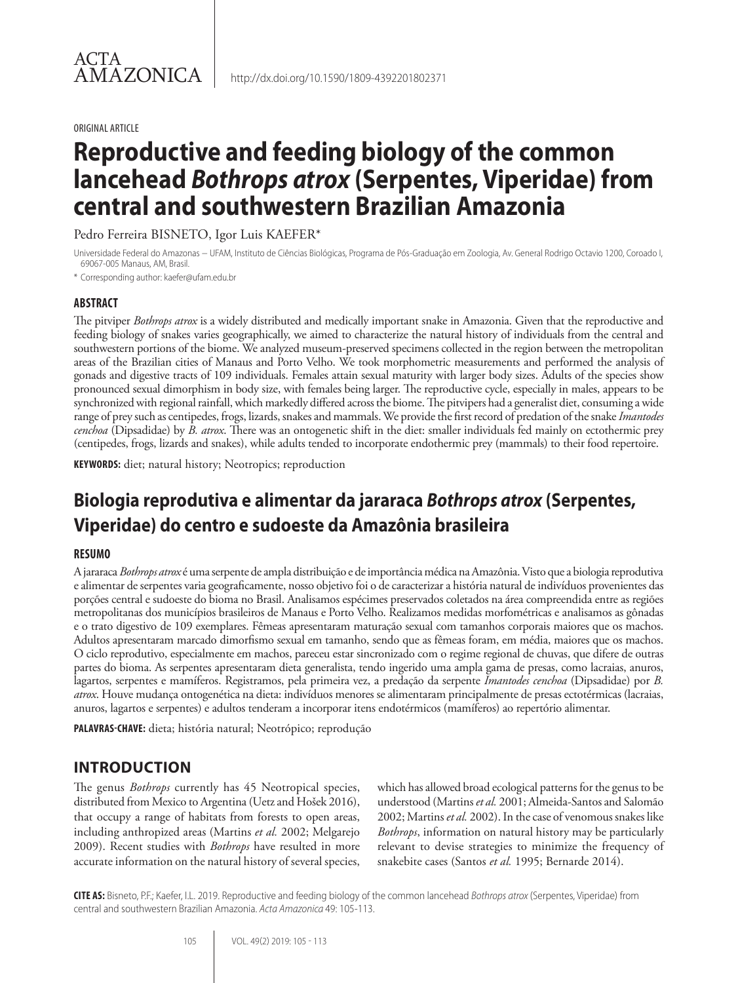#### ORIGINAL ARTICLE

# **Reproductive and feeding biology of the common lancehead** *Bothrops atrox* **(Serpentes, Viperidae) from central and southwestern Brazilian Amazonia**

Pedro Ferreira BISNETO, Igor Luis KAEFER\*

Universidade Federal do Amazonas − UFAM, Instituto de Ciências Biológicas, Programa de Pós-Graduação em Zoologia, Av. General Rodrigo Octavio 1200, Coroado I, 69067-005 Manaus, AM, Brasil.

\* Corresponding author: kaefer@ufam.edu.br

## **ABSTRACT**

The pitviper *Bothrops atrox* is a widely distributed and medically important snake in Amazonia. Given that the reproductive and feeding biology of snakes varies geographically, we aimed to characterize the natural history of individuals from the central and southwestern portions of the biome. We analyzed museum-preserved specimens collected in the region between the metropolitan areas of the Brazilian cities of Manaus and Porto Velho. We took morphometric measurements and performed the analysis of gonads and digestive tracts of 109 individuals. Females attain sexual maturity with larger body sizes. Adults of the species show pronounced sexual dimorphism in body size, with females being larger. The reproductive cycle, especially in males, appears to be synchronized with regional rainfall, which markedly differed across the biome. The pitvipers had a generalist diet, consuming a wide range of prey such as centipedes, frogs, lizards, snakes and mammals. We provide the first record of predation of the snake *Imantodes cenchoa* (Dipsadidae) by *B. atrox*. There was an ontogenetic shift in the diet: smaller individuals fed mainly on ectothermic prey (centipedes, frogs, lizards and snakes), while adults tended to incorporate endothermic prey (mammals) to their food repertoire.

**KEYWORDS:** diet; natural history; Neotropics; reproduction

# **Biologia reprodutiva e alimentar da jararaca** *Bothrops atrox* **(Serpentes, Viperidae) do centro e sudoeste da Amazônia brasileira**

## **RESUMO**

A jararaca *Bothrops atrox* é uma serpente de ampla distribuição e de importância médica na Amazônia. Visto que a biologia reprodutiva e alimentar de serpentes varia geograficamente, nosso objetivo foi o de caracterizar a história natural de indivíduos provenientes das porções central e sudoeste do bioma no Brasil. Analisamos espécimes preservados coletados na área compreendida entre as regiões metropolitanas dos municípios brasileiros de Manaus e Porto Velho. Realizamos medidas morfométricas e analisamos as gônadas e o trato digestivo de 109 exemplares. Fêmeas apresentaram maturação sexual com tamanhos corporais maiores que os machos. Adultos apresentaram marcado dimorfismo sexual em tamanho, sendo que as fêmeas foram, em média, maiores que os machos. O ciclo reprodutivo, especialmente em machos, pareceu estar sincronizado com o regime regional de chuvas, que difere de outras partes do bioma. As serpentes apresentaram dieta generalista, tendo ingerido uma ampla gama de presas, como lacraias, anuros, lagartos, serpentes e mamíferos. Registramos, pela primeira vez, a predação da serpente *Imantodes cenchoa* (Dipsadidae) por *B. atrox*. Houve mudança ontogenética na dieta: indivíduos menores se alimentaram principalmente de presas ectotérmicas (lacraias, anuros, lagartos e serpentes) e adultos tenderam a incorporar itens endotérmicos (mamíferos) ao repertório alimentar.

**PALAVRAS-CHAVE:** dieta; história natural; Neotrópico; reprodução

# **INTRODUCTION**

The genus *Bothrops* currently has 45 Neotropical species, distributed from Mexico to Argentina (Uetz and Hošek 2016), that occupy a range of habitats from forests to open areas, including anthropized areas (Martins *et al.* 2002; Melgarejo 2009). Recent studies with *Bothrops* have resulted in more accurate information on the natural history of several species, which has allowed broad ecological patterns for the genus to be understood (Martins *et al.* 2001; Almeida-Santos and Salomão 2002; Martins *et al.* 2002). In the case of venomous snakes like *Bothrops*, information on natural history may be particularly relevant to devise strategies to minimize the frequency of snakebite cases (Santos *et al.* 1995; Bernarde 2014).

**CITE AS:** Bisneto, P.F.; Kaefer, I.L. 2019. Reproductive and feeding biology of the common lancehead *Bothrops atrox* (Serpentes, Viperidae) from central and southwestern Brazilian Amazonia. *Acta Amazonica* 49: 105-113.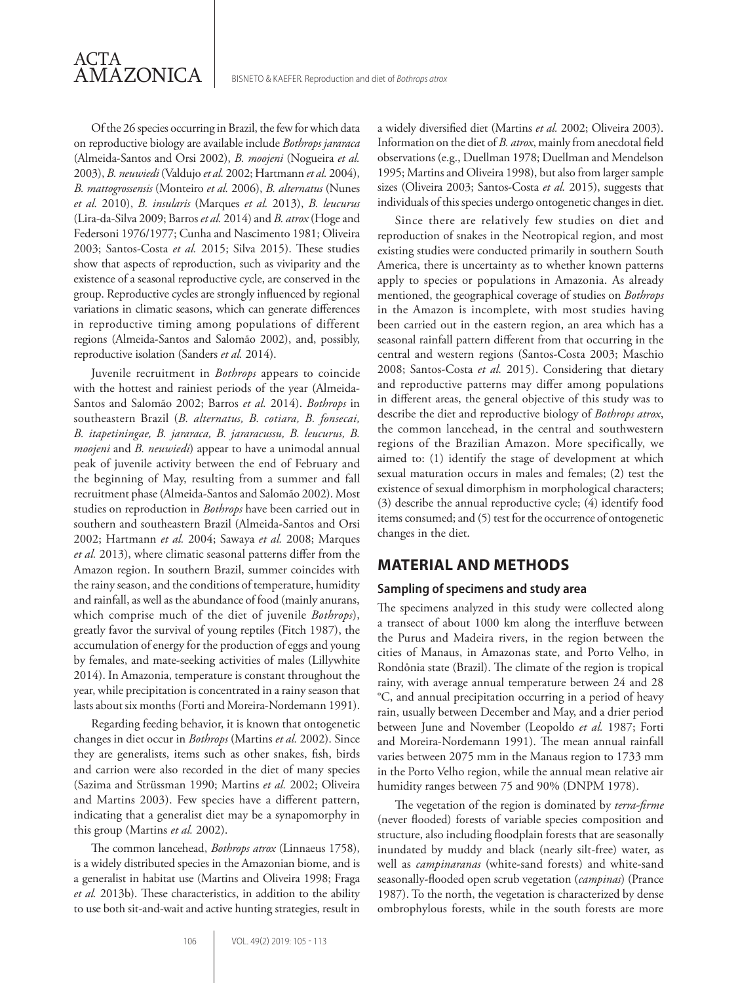Of the 26 species occurring in Brazil, the few for which data on reproductive biology are available include *Bothrops jararaca* (Almeida-Santos and Orsi 2002), *B. moojeni* (Nogueira *et al.* 2003), *B. neuwiedi* (Valdujo *et al.* 2002; Hartmann *et al.* 2004), *B. mattogrossensis* (Monteiro *et al.* 2006), *B. alternatus* (Nunes *et al.* 2010), *B. insularis* (Marques *et al.* 2013), *B. leucurus* (Lira-da-Silva 2009; Barros *et al.* 2014) and *B. atrox* (Hoge and Federsoni 1976/1977; Cunha and Nascimento 1981; Oliveira 2003; Santos-Costa *et al.* 2015; Silva 2015). These studies show that aspects of reproduction, such as viviparity and the existence of a seasonal reproductive cycle, are conserved in the group. Reproductive cycles are strongly influenced by regional variations in climatic seasons, which can generate differences in reproductive timing among populations of different regions (Almeida-Santos and Salomão 2002), and, possibly, reproductive isolation (Sanders *et al.* 2014).

ACTA

AMAZONICA

Juvenile recruitment in *Bothrops* appears to coincide with the hottest and rainiest periods of the year (Almeida-Santos and Salomão 2002; Barros *et al.* 2014). *Bothrops* in southeastern Brazil (*B. alternatus, B. cotiara, B. fonsecai, B. itapetiningae, B. jararaca, B. jararacussu, B. leucurus, B. moojeni* and *B. neuwiedi*) appear to have a unimodal annual peak of juvenile activity between the end of February and the beginning of May, resulting from a summer and fall recruitment phase (Almeida-Santos and Salomão 2002). Most studies on reproduction in *Bothrops* have been carried out in southern and southeastern Brazil (Almeida-Santos and Orsi 2002; Hartmann *et al.* 2004; Sawaya *et al.* 2008; Marques *et al.* 2013), where climatic seasonal patterns differ from the Amazon region. In southern Brazil, summer coincides with the rainy season, and the conditions of temperature, humidity and rainfall, as well as the abundance of food (mainly anurans, which comprise much of the diet of juvenile *Bothrops*), greatly favor the survival of young reptiles (Fitch 1987), the accumulation of energy for the production of eggs and young by females, and mate-seeking activities of males (Lillywhite 2014). In Amazonia, temperature is constant throughout the year, while precipitation is concentrated in a rainy season that lasts about six months (Forti and Moreira-Nordemann 1991).

Regarding feeding behavior, it is known that ontogenetic changes in diet occur in *Bothrops* (Martins *et al.* 2002). Since they are generalists, items such as other snakes, fish, birds and carrion were also recorded in the diet of many species (Sazima and Strüssman 1990; Martins *et al.* 2002; Oliveira and Martins 2003). Few species have a different pattern, indicating that a generalist diet may be a synapomorphy in this group (Martins *et al.* 2002).

The common lancehead, *Bothrops atrox* (Linnaeus 1758), is a widely distributed species in the Amazonian biome, and is a generalist in habitat use (Martins and Oliveira 1998; Fraga *et al.* 2013b). These characteristics, in addition to the ability to use both sit-and-wait and active hunting strategies, result in a widely diversified diet (Martins *et al.* 2002; Oliveira 2003). Information on the diet of *B. atrox*, mainly from anecdotal field observations (e.g., Duellman 1978; Duellman and Mendelson 1995; Martins and Oliveira 1998), but also from larger sample sizes (Oliveira 2003; Santos-Costa *et al.* 2015), suggests that individuals of this species undergo ontogenetic changes in diet.

Since there are relatively few studies on diet and reproduction of snakes in the Neotropical region, and most existing studies were conducted primarily in southern South America, there is uncertainty as to whether known patterns apply to species or populations in Amazonia. As already mentioned, the geographical coverage of studies on *Bothrops* in the Amazon is incomplete, with most studies having been carried out in the eastern region, an area which has a seasonal rainfall pattern different from that occurring in the central and western regions (Santos-Costa 2003; Maschio 2008; Santos-Costa *et al.* 2015). Considering that dietary and reproductive patterns may differ among populations in different areas, the general objective of this study was to describe the diet and reproductive biology of *Bothrops atrox*, the common lancehead, in the central and southwestern regions of the Brazilian Amazon. More specifically, we aimed to: (1) identify the stage of development at which sexual maturation occurs in males and females; (2) test the existence of sexual dimorphism in morphological characters; (3) describe the annual reproductive cycle; (4) identify food items consumed; and (5) test for the occurrence of ontogenetic changes in the diet.

## **MATERIAL AND METHODS**

#### **Sampling of specimens and study area**

The specimens analyzed in this study were collected along a transect of about 1000 km along the interfluve between the Purus and Madeira rivers, in the region between the cities of Manaus, in Amazonas state, and Porto Velho, in Rondônia state (Brazil). The climate of the region is tropical rainy, with average annual temperature between 24 and 28 °C, and annual precipitation occurring in a period of heavy rain, usually between December and May, and a drier period between June and November (Leopoldo *et al.* 1987; Forti and Moreira-Nordemann 1991). The mean annual rainfall varies between 2075 mm in the Manaus region to 1733 mm in the Porto Velho region, while the annual mean relative air humidity ranges between 75 and 90% (DNPM 1978).

The vegetation of the region is dominated by *terra-firme* (never flooded) forests of variable species composition and structure, also including floodplain forests that are seasonally inundated by muddy and black (nearly silt-free) water, as well as *campinaranas* (white-sand forests) and white-sand seasonally-flooded open scrub vegetation (*campinas*) (Prance 1987). To the north, the vegetation is characterized by dense ombrophylous forests, while in the south forests are more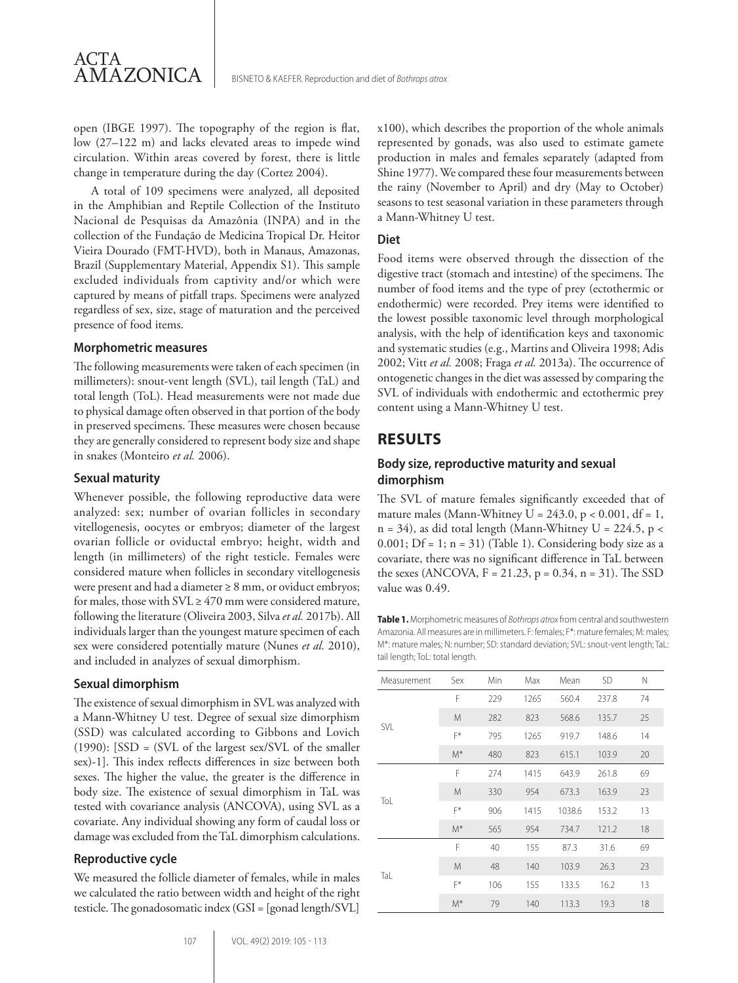open (IBGE 1997). The topography of the region is flat, low (27–122 m) and lacks elevated areas to impede wind circulation. Within areas covered by forest, there is little change in temperature during the day (Cortez 2004).

A total of 109 specimens were analyzed, all deposited in the Amphibian and Reptile Collection of the Instituto Nacional de Pesquisas da Amazônia (INPA) and in the collection of the Fundação de Medicina Tropical Dr. Heitor Vieira Dourado (FMT-HVD), both in Manaus, Amazonas, Brazil (Supplementary Material, Appendix S1). This sample excluded individuals from captivity and/or which were captured by means of pitfall traps. Specimens were analyzed regardless of sex, size, stage of maturation and the perceived presence of food items.

## **Morphometric measures**

The following measurements were taken of each specimen (in millimeters): snout-vent length (SVL), tail length (TaL) and total length (ToL). Head measurements were not made due to physical damage often observed in that portion of the body in preserved specimens. These measures were chosen because they are generally considered to represent body size and shape in snakes (Monteiro *et al.* 2006).

#### **Sexual maturity**

Whenever possible, the following reproductive data were analyzed: sex; number of ovarian follicles in secondary vitellogenesis, oocytes or embryos; diameter of the largest ovarian follicle or oviductal embryo; height, width and length (in millimeters) of the right testicle. Females were considered mature when follicles in secondary vitellogenesis were present and had a diameter ≥ 8 mm, or oviduct embryos; for males, those with  $SVL \geq 470$  mm were considered mature, following the literature (Oliveira 2003, Silva *et al.* 2017b). All individuals larger than the youngest mature specimen of each sex were considered potentially mature (Nunes *et al.* 2010), and included in analyzes of sexual dimorphism.

### **Sexual dimorphism**

The existence of sexual dimorphism in SVL was analyzed with a Mann-Whitney U test. Degree of sexual size dimorphism (SSD) was calculated according to Gibbons and Lovich (1990): [SSD = (SVL of the largest sex/SVL of the smaller sex)-1]. This index reflects differences in size between both sexes. The higher the value, the greater is the difference in body size. The existence of sexual dimorphism in TaL was tested with covariance analysis (ANCOVA), using SVL as a covariate. Any individual showing any form of caudal loss or damage was excluded from the TaL dimorphism calculations.

### **Reproductive cycle**

We measured the follicle diameter of females, while in males we calculated the ratio between width and height of the right testicle. The gonadosomatic index (GSI = [gonad length/SVL] x100), which describes the proportion of the whole animals represented by gonads, was also used to estimate gamete production in males and females separately (adapted from Shine 1977). We compared these four measurements between the rainy (November to April) and dry (May to October) seasons to test seasonal variation in these parameters through a Mann-Whitney U test.

### **Diet**

Food items were observed through the dissection of the digestive tract (stomach and intestine) of the specimens. The number of food items and the type of prey (ectothermic or endothermic) were recorded. Prey items were identified to the lowest possible taxonomic level through morphological analysis, with the help of identification keys and taxonomic and systematic studies (e.g., Martins and Oliveira 1998; Adis 2002; Vitt *et al.* 2008; Fraga *et al.* 2013a). The occurrence of ontogenetic changes in the diet was assessed by comparing the SVL of individuals with endothermic and ectothermic prey content using a Mann-Whitney U test.

## **RESULTS**

## **Body size, reproductive maturity and sexual dimorphism**

The SVL of mature females significantly exceeded that of mature males (Mann-Whitney  $U = 243.0$ ,  $p < 0.001$ , df = 1,  $n = 34$ ), as did total length (Mann-Whitney U = 224.5, p < 0.001;  $Df = 1$ ;  $n = 31$ ) (Table 1). Considering body size as a covariate, there was no significant difference in TaL between the sexes (ANCOVA, F = 21.23, p = 0.34, n = 31). The SSD value was 0.49.

**Table 1.** Morphometric measures of *Bothrops atrox* from central and southwestern Amazonia. All measures are in millimeters. F: females; F\*: mature females; M: males; M\*: mature males; N: number; SD: standard deviation; SVL: snout-vent length; TaL: tail length; ToL: total length.

| Measurement | Sex   | Min | Max  | Mean   | <b>SD</b> | N  |
|-------------|-------|-----|------|--------|-----------|----|
| SVL         | F     | 229 | 1265 | 560.4  | 237.8     | 74 |
|             | M     | 282 | 823  | 568.6  | 135.7     | 25 |
|             | F*    | 795 | 1265 | 919.7  | 148.6     | 14 |
|             | $M^*$ | 480 | 823  | 615.1  | 103.9     | 20 |
|             | F     | 274 | 1415 | 643.9  | 261.8     | 69 |
| ToL         | M     | 330 | 954  | 673.3  | 163.9     | 23 |
|             | F*    | 906 | 1415 | 1038.6 | 153.2     | 13 |
|             | $M^*$ | 565 | 954  | 734.7  | 121.2     | 18 |
| TaL         | F     | 40  | 155  | 87.3   | 31.6      | 69 |
|             | M     | 48  | 140  | 103.9  | 26.3      | 23 |
|             | F*    | 106 | 155  | 133.5  | 16.2      | 13 |
|             | $M^*$ | 79  | 140  | 113.3  | 19.3      | 18 |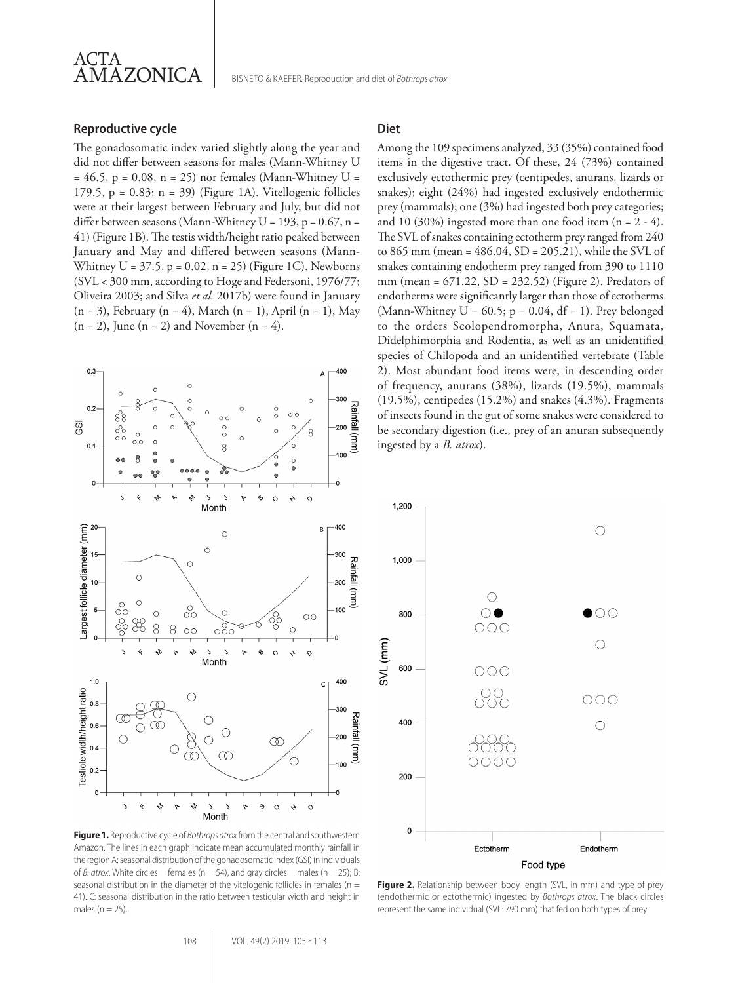

#### **Reproductive cycle**

The gonadosomatic index varied slightly along the year and did not differ between seasons for males (Mann-Whitney U  $= 46.5$ , p = 0.08, n = 25) nor females (Mann-Whitney U = 179.5,  $p = 0.83$ ;  $n = 39$ ) (Figure 1A). Vitellogenic follicles were at their largest between February and July, but did not differ between seasons (Mann-Whitney U = 193, p =  $0.67$ , n = 41) (Figure 1B). The testis width/height ratio peaked between January and May and differed between seasons (Mann-Whitney  $U = 37.5$ ,  $p = 0.02$ ,  $n = 25$ ) (Figure 1C). Newborns (SVL < 300 mm, according to Hoge and Federsoni, 1976/77; Oliveira 2003; and Silva *et al.* 2017b) were found in January  $(n = 3)$ , February  $(n = 4)$ , March  $(n = 1)$ , April  $(n = 1)$ , May  $(n = 2)$ , June  $(n = 2)$  and November  $(n = 4)$ .



**Figure 1.** Reproductive cycle of *Bothrops atrox* from the central and southwestern Amazon. The lines in each graph indicate mean accumulated monthly rainfall in the region A: seasonal distribution of the gonadosomatic index (GSI) in individuals of *B. atrox*. White circles = females ( $n = 54$ ), and gray circles = males ( $n = 25$ ); B: seasonal distribution in the diameter of the vitelogenic follicles in females ( $n =$ 41). C: seasonal distribution in the ratio between testicular width and height in males ( $n = 25$ )

## **Diet**

Among the 109 specimens analyzed, 33 (35%) contained food items in the digestive tract. Of these, 24 (73%) contained exclusively ectothermic prey (centipedes, anurans, lizards or snakes); eight (24%) had ingested exclusively endothermic prey (mammals); one (3%) had ingested both prey categories; and 10 (30%) ingested more than one food item  $(n = 2 - 4)$ . The SVL of snakes containing ectotherm prey ranged from 240 to 865 mm (mean = 486.04, SD = 205.21), while the SVL of snakes containing endotherm prey ranged from 390 to 1110 mm (mean = 671.22, SD = 232.52) (Figure 2). Predators of endotherms were significantly larger than those of ectotherms (Mann-Whitney  $U = 60.5$ ;  $p = 0.04$ , df = 1). Prey belonged to the orders Scolopendromorpha, Anura, Squamata, Didelphimorphia and Rodentia, as well as an unidentified species of Chilopoda and an unidentified vertebrate (Table 2). Most abundant food items were, in descending order of frequency, anurans (38%), lizards (19.5%), mammals (19.5%), centipedes (15.2%) and snakes (4.3%). Fragments of insects found in the gut of some snakes were considered to be secondary digestion (i.e., prey of an anuran subsequently ingested by a *B. atrox*).



**Figure 2.** Relationship between body length (SVL, in mm) and type of prey (endothermic or ectothermic) ingested by *Bothrops atrox*. The black circles represent the same individual (SVL: 790 mm) that fed on both types of prey.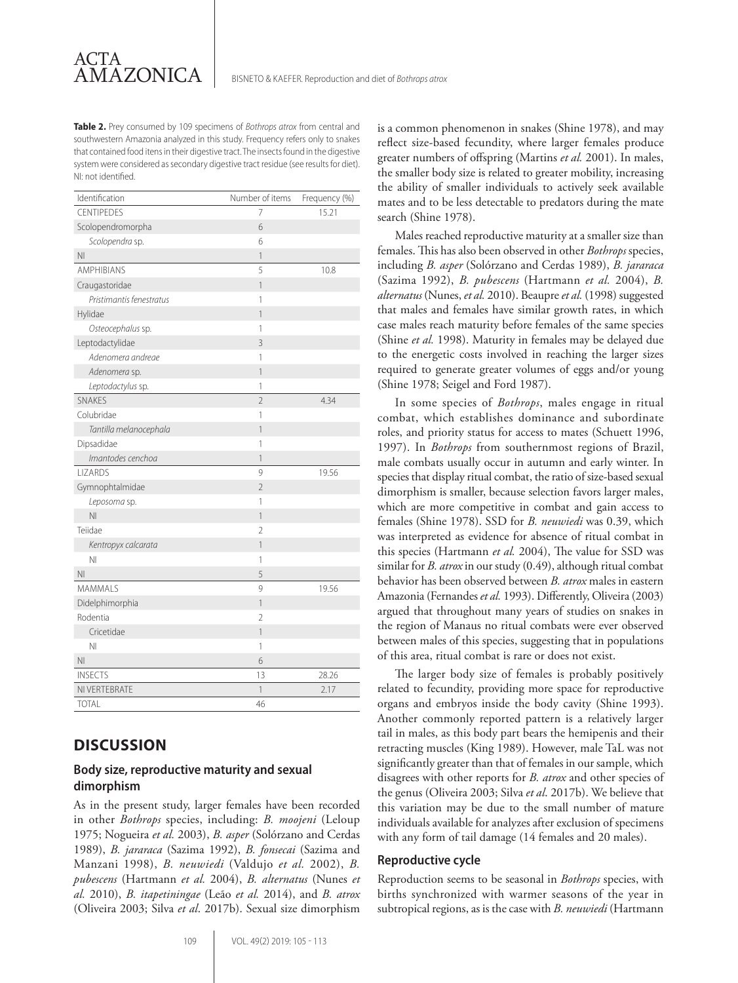**Table 2.** Prey consumed by 109 specimens of *Bothrops atrox* from central and southwestern Amazonia analyzed in this study. Frequency refers only to snakes that contained food itens in their digestive tract. The insects found in the digestive system were considered as secondary digestive tract residue (see results for diet). NI: not identified.

| Identification           | Number of items | Frequency (%) |
|--------------------------|-----------------|---------------|
| <b>CENTIPEDES</b>        | 7               | 15.21         |
| Scolopendromorpha        | 6               |               |
| Scolopendra sp.          | 6               |               |
| N <sub>l</sub>           | 1               |               |
| <b>AMPHIBIANS</b>        | 5               | 10.8          |
| Craugastoridae           | 1               |               |
| Pristimantis fenestratus | 1               |               |
| Hylidae                  | 1               |               |
| Osteocephalus sp.        | 1               |               |
| Leptodactylidae          | 3               |               |
| Adenomera andreae        | 1               |               |
| Adenomera sp.            | 1               |               |
| Leptodactylus sp.        | 1               |               |
| <b>SNAKES</b>            | $\overline{2}$  | 4.34          |
| Colubridae               | 1               |               |
| Tantilla melanocephala   | 1               |               |
| Dipsadidae               | 1               |               |
| Imantodes cenchoa        | 1               |               |
| <b>I IZARDS</b>          | 9               | 19.56         |
| Gymnophtalmidae          | $\overline{2}$  |               |
| Leposoma sp.             | 1               |               |
| N <sub>l</sub>           | 1               |               |
| Teiidae                  | $\overline{2}$  |               |
| Kentropyx calcarata      | 1               |               |
| N <sub>l</sub>           | 1               |               |
| N <sub>l</sub>           | 5               |               |
| <b>MAMMALS</b>           | $\overline{9}$  | 19.56         |
| Didelphimorphia          | 1               |               |
| Rodentia                 | $\overline{2}$  |               |
| Cricetidae               | 1               |               |
| N <sub>l</sub>           | 1               |               |
| N <sub>l</sub>           | 6               |               |
| <b>INSECTS</b>           | 13              | 28.26         |
| NI VERTEBRATE            | 1               | 2.17          |
| <b>TOTAL</b>             | 46              |               |

# **DISCUSSION**

## **Body size, reproductive maturity and sexual dimorphism**

As in the present study, larger females have been recorded in other *Bothrops* species, including: *B. moojeni* (Leloup 1975; Nogueira *et al.* 2003), *B. asper* (Solórzano and Cerdas 1989), *B. jararaca* (Sazima 1992), *B. fonsecai* (Sazima and Manzani 1998), *B. neuwiedi* (Valdujo *et al.* 2002), *B. pubescens* (Hartmann *et al.* 2004), *B. alternatus* (Nunes *et al.* 2010), *B. itapetiningae* (Leão *et al.* 2014), and *B. atrox* (Oliveira 2003; Silva *et al*. 2017b). Sexual size dimorphism is a common phenomenon in snakes (Shine 1978), and may reflect size-based fecundity, where larger females produce greater numbers of offspring (Martins *et al.* 2001). In males, the smaller body size is related to greater mobility, increasing the ability of smaller individuals to actively seek available mates and to be less detectable to predators during the mate search (Shine 1978).

Males reached reproductive maturity at a smaller size than females. This has also been observed in other *Bothrops* species, including *B. asper* (Solórzano and Cerdas 1989), *B. jararaca* (Sazima 1992), *B. pubescens* (Hartmann *et al.* 2004), *B. alternatus* (Nunes, *et al.* 2010). Beaupre *et al.* (1998) suggested that males and females have similar growth rates, in which case males reach maturity before females of the same species (Shine *et al.* 1998). Maturity in females may be delayed due to the energetic costs involved in reaching the larger sizes required to generate greater volumes of eggs and/or young (Shine 1978; Seigel and Ford 1987).

In some species of *Bothrops*, males engage in ritual combat, which establishes dominance and subordinate roles, and priority status for access to mates (Schuett 1996, 1997). In *Bothrops* from southernmost regions of Brazil, male combats usually occur in autumn and early winter. In species that display ritual combat, the ratio of size-based sexual dimorphism is smaller, because selection favors larger males, which are more competitive in combat and gain access to females (Shine 1978). SSD for *B. neuwiedi* was 0.39, which was interpreted as evidence for absence of ritual combat in this species (Hartmann *et al.* 2004), The value for SSD was similar for *B. atrox* in our study (0.49), although ritual combat behavior has been observed between *B. atrox* males in eastern Amazonia (Fernandes *et al.* 1993). Differently, Oliveira (2003) argued that throughout many years of studies on snakes in the region of Manaus no ritual combats were ever observed between males of this species, suggesting that in populations of this area, ritual combat is rare or does not exist.

The larger body size of females is probably positively related to fecundity, providing more space for reproductive organs and embryos inside the body cavity (Shine 1993). Another commonly reported pattern is a relatively larger tail in males, as this body part bears the hemipenis and their retracting muscles (King 1989). However, male TaL was not significantly greater than that of females in our sample, which disagrees with other reports for *B. atrox* and other species of the genus (Oliveira 2003; Silva *et al*. 2017b). We believe that this variation may be due to the small number of mature individuals available for analyzes after exclusion of specimens with any form of tail damage (14 females and 20 males).

### **Reproductive cycle**

Reproduction seems to be seasonal in *Bothrops* species, with births synchronized with warmer seasons of the year in subtropical regions, as is the case with *B. neuwiedi* (Hartmann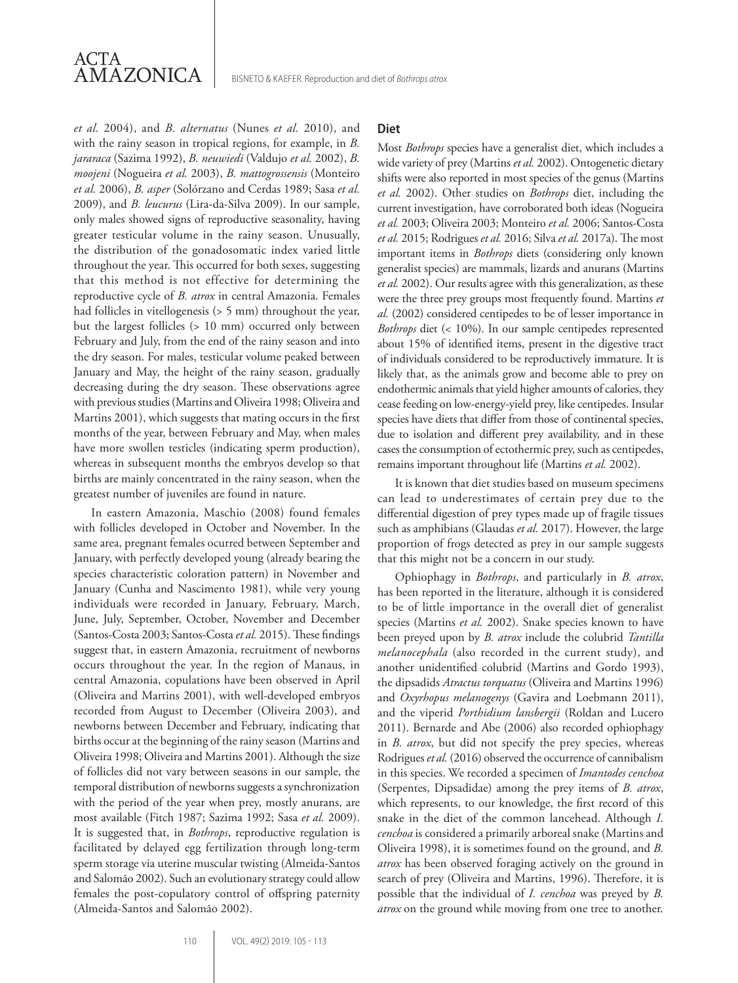

*et al.* 2004), and *B. alternatus* (Nunes *et al.* 2010), and with the rainy season in tropical regions, for example, in *B. jararaca* (Sazima 1992), *B. neuwiedi* (Valdujo *et al.* 2002), *B. moojeni* (Nogueira *et al.* 2003), *B. mattogrossensis* (Monteiro *et al.* 2006), *B. asper* (Solórzano and Cerdas 1989; Sasa *et al.* 2009), and *B. leucurus* (Lira-da-Silva 2009). In our sample, only males showed signs of reproductive seasonality, having greater testicular volume in the rainy season. Unusually, the distribution of the gonadosomatic index varied little throughout the year. This occurred for both sexes, suggesting that this method is not effective for determining the reproductive cycle of *B. atrox* in central Amazonia. Females had follicles in vitellogenesis (> 5 mm) throughout the year, but the largest follicles (> 10 mm) occurred only between February and July, from the end of the rainy season and into the dry season. For males, testicular volume peaked between January and May, the height of the rainy season, gradually decreasing during the dry season. These observations agree with previous studies (Martins and Oliveira 1998; Oliveira and Martins 2001), which suggests that mating occurs in the first months of the year, between February and May, when males have more swollen testicles (indicating sperm production), whereas in subsequent months the embryos develop so that births are mainly concentrated in the rainy season, when the greatest number of juveniles are found in nature.

In eastern Amazonia, Maschio (2008) found females with follicles developed in October and November. In the same area, pregnant females ocurred between September and January, with perfectly developed young (already bearing the species characteristic coloration pattern) in November and January (Cunha and Nascimento 1981), while very young individuals were recorded in January, February, March, June, July, September, October, November and December (Santos-Costa 2003; Santos-Costa *et al.* 2015). These findings suggest that, in eastern Amazonia, recruitment of newborns occurs throughout the year. In the region of Manaus, in central Amazonia, copulations have been observed in April (Oliveira and Martins 2001), with well-developed embryos recorded from August to December (Oliveira 2003), and newborns between December and February, indicating that births occur at the beginning of the rainy season (Martins and Oliveira 1998; Oliveira and Martins 2001). Although the size of follicles did not vary between seasons in our sample, the temporal distribution of newborns suggests a synchronization with the period of the year when prey, mostly anurans, are most available (Fitch 1987; Sazima 1992; Sasa *et al.* 2009). It is suggested that, in *Bothrops*, reproductive regulation is facilitated by delayed egg fertilization through long-term sperm storage via uterine muscular twisting (Almeida-Santos and Salomão 2002). Such an evolutionary strategy could allow females the post-copulatory control of offspring paternity (Almeida-Santos and Salomão 2002).

### **Diet**

Most *Bothrops* species have a generalist diet, which includes a wide variety of prey (Martins *et al.* 2002). Ontogenetic dietary shifts were also reported in most species of the genus (Martins *et al.* 2002). Other studies on *Bothrops* diet, including the current investigation, have corroborated both ideas (Nogueira *et al.* 2003; Oliveira 2003; Monteiro *et al.* 2006; Santos-Costa *et al.* 2015; Rodrigues *et al.* 2016; Silva *et al.* 2017a). The most important items in *Bothrops* diets (considering only known generalist species) are mammals, lizards and anurans (Martins *et al.* 2002). Our results agree with this generalization, as these were the three prey groups most frequently found. Martins *et al.* (2002) considered centipedes to be of lesser importance in *Bothrops* diet (< 10%). In our sample centipedes represented about 15% of identified items, present in the digestive tract of individuals considered to be reproductively immature. It is likely that, as the animals grow and become able to prey on endothermic animals that yield higher amounts of calories, they cease feeding on low-energy-yield prey, like centipedes. Insular species have diets that differ from those of continental species, due to isolation and different prey availability, and in these cases the consumption of ectothermic prey, such as centipedes, remains important throughout life (Martins *et al.* 2002).

It is known that diet studies based on museum specimens can lead to underestimates of certain prey due to the differential digestion of prey types made up of fragile tissues such as amphibians (Glaudas *et al.* 2017). However, the large proportion of frogs detected as prey in our sample suggests that this might not be a concern in our study.

Ophiophagy in *Bothrops*, and particularly in *B. atrox*, has been reported in the literature, although it is considered to be of little importance in the overall diet of generalist species (Martins *et al.* 2002). Snake species known to have been preyed upon by *B. atrox* include the colubrid *Tantilla melanocephala* (also recorded in the current study), and another unidentified colubrid (Martins and Gordo 1993), the dipsadids *Atractus torquatus* (Oliveira and Martins 1996) and *Oxyrhopus melanogenys* (Gavira and Loebmann 2011), and the viperid *Porthidium lansbergii* (Roldan and Lucero 2011). Bernarde and Abe (2006) also recorded ophiophagy in *B. atrox*, but did not specify the prey species, whereas Rodrigues *et al.* (2016) observed the occurrence of cannibalism in this species. We recorded a specimen of *Imantodes cenchoa*  (Serpentes, Dipsadidae) among the prey items of *B. atrox*, which represents, to our knowledge, the first record of this snake in the diet of the common lancehead. Although *I. cenchoa* is considered a primarily arboreal snake (Martins and Oliveira 1998), it is sometimes found on the ground, and *B. atrox* has been observed foraging actively on the ground in search of prey (Oliveira and Martins, 1996). Therefore, it is possible that the individual of *I. cenchoa* was preyed by *B. atrox* on the ground while moving from one tree to another.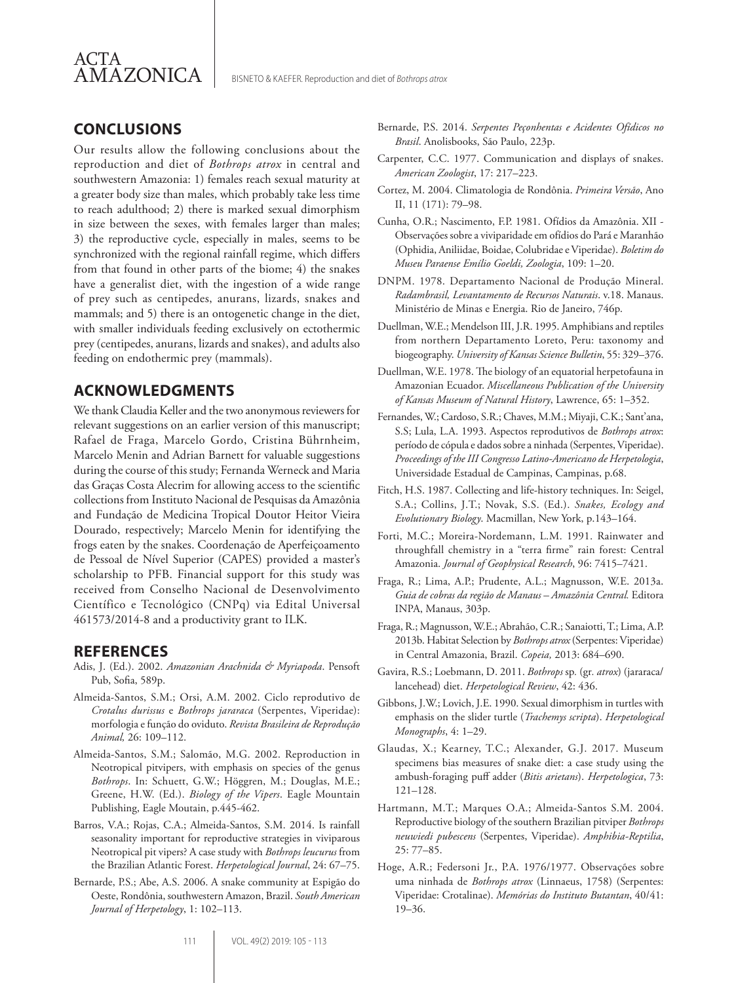

# **CONCLUSIONS**

Our results allow the following conclusions about the reproduction and diet of *Bothrops atrox* in central and southwestern Amazonia: 1) females reach sexual maturity at a greater body size than males, which probably take less time to reach adulthood; 2) there is marked sexual dimorphism in size between the sexes, with females larger than males; 3) the reproductive cycle, especially in males, seems to be synchronized with the regional rainfall regime, which differs from that found in other parts of the biome; 4) the snakes have a generalist diet, with the ingestion of a wide range of prey such as centipedes, anurans, lizards, snakes and mammals; and 5) there is an ontogenetic change in the diet, with smaller individuals feeding exclusively on ectothermic prey (centipedes, anurans, lizards and snakes), and adults also feeding on endothermic prey (mammals).

## **ACKNOWLEDGMENTS**

We thank Claudia Keller and the two anonymous reviewers for relevant suggestions on an earlier version of this manuscript; Rafael de Fraga, Marcelo Gordo, Cristina Bührnheim, Marcelo Menin and Adrian Barnett for valuable suggestions during the course of this study; Fernanda Werneck and Maria das Graças Costa Alecrim for allowing access to the scientific collections from Instituto Nacional de Pesquisas da Amazônia and Fundação de Medicina Tropical Doutor Heitor Vieira Dourado, respectively; Marcelo Menin for identifying the frogs eaten by the snakes. Coordenação de Aperfeiçoamento de Pessoal de Nível Superior (CAPES) provided a master's scholarship to PFB. Financial support for this study was received from Conselho Nacional de Desenvolvimento Científico e Tecnológico (CNPq) via Edital Universal 461573/2014-8 and a productivity grant to ILK.

## **REFERENCES**

- Adis, J. (Ed.). 2002. *Amazonian Arachnida & Myriapoda*. Pensoft Pub, Sofia, 589p.
- Almeida-Santos, S.M.; Orsi, A.M. 2002. Ciclo reprodutivo de *Crotalus durissus* e *Bothrops jararaca* (Serpentes, Viperidae): morfologia e função do oviduto. *Revista Brasileira de Reprodução Animal,* 26: 109–112.
- Almeida-Santos, S.M.; Salomão, M.G. 2002. Reproduction in Neotropical pitvipers, with emphasis on species of the genus *Bothrops*. In: Schuett, G.W.; Höggren, M.; Douglas, M.E.; Greene, H.W. (Ed.). *Biology of the Vipers*. Eagle Mountain Publishing, Eagle Moutain, p.445-462.
- Barros, V.A.; Rojas, C.A.; Almeida-Santos, S.M. 2014. Is rainfall seasonality important for reproductive strategies in viviparous Neotropical pit vipers? A case study with *Bothrops leucurus* from the Brazilian Atlantic Forest. *Herpetological Journal*, 24: 67–75.
- Bernarde, P.S.; Abe, A.S. 2006. A snake community at Espigão do Oeste, Rondônia, southwestern Amazon, Brazil. *South American Journal of Herpetology*, 1: 102–113.
- Bernarde, P.S. 2014. *Serpentes Peçonhentas e Acidentes Ofídicos no Brasil*. Anolisbooks, São Paulo, 223p.
- Carpenter, C.C. 1977. Communication and displays of snakes. *American Zoologist*, 17: 217–223.
- Cortez, M. 2004. Climatologia de Rondônia. *Primeira Versão*, Ano II, 11 (171): 79–98.
- Cunha, O.R.; Nascimento, F.P. 1981. Ofídios da Amazônia. XII Observações sobre a viviparidade em ofídios do Pará e Maranhão (Ophidia, Aniliidae, Boidae, Colubridae e Viperidae). *Boletim do Museu Paraense Emílio Goeldi, Zoologia*, 109: 1–20.
- DNPM. 1978. Departamento Nacional de Produção Mineral. *Radambrasil, Levantamento de Recursos Naturais*. v.18. Manaus. Ministério de Minas e Energia. Rio de Janeiro, 746p.
- Duellman, W.E.; Mendelson III, J.R. 1995. Amphibians and reptiles from northern Departamento Loreto, Peru: taxonomy and biogeography. *University of Kansas Science Bulletin*, 55: 329–376.
- Duellman, W.E. 1978. The biology of an equatorial herpetofauna in Amazonian Ecuador. *Miscellaneous Publication of the University of Kansas Museum of Natural History*, Lawrence, 65: 1–352.
- Fernandes, W.; Cardoso, S.R.; Chaves, M.M.; Miyaji, C.K.; Sant'ana, S.S; Lula, L.A. 1993. Aspectos reprodutivos de *Bothrops atrox*: período de cópula e dados sobre a ninhada (Serpentes, Viperidae). *Proceedings of the III Congresso Latino-Americano de Herpetologia*, Universidade Estadual de Campinas, Campinas, p.68.
- Fitch, H.S. 1987. Collecting and life-history techniques. In: Seigel, S.A.; Collins, J.T.; Novak, S.S. (Ed.). *Snakes, Ecology and Evolutionary Biology*. Macmillan, New York, p.143–164.
- Forti, M.C.; Moreira-Nordemann, L.M. 1991. Rainwater and throughfall chemistry in a "terra firme" rain forest: Central Amazonia. *Journal of Geophysical Research*, 96: 7415–7421.
- Fraga, R.; Lima, A.P.; Prudente, A.L.; Magnusson, W.E. 2013a. *Guia de cobras da região de Manaus – Amazônia Central.* Editora INPA, Manaus, 303p.
- Fraga, R.; Magnusson, W.E.; Abrahão, C.R.; Sanaiotti, T.; Lima, A.P. 2013b. Habitat Selection by *Bothrops atrox* (Serpentes: Viperidae) in Central Amazonia, Brazil. *Copeia,* 2013: 684–690.
- Gavira, R.S.; Loebmann, D. 2011. *Bothrops* sp*.* (gr*. atrox*) (jararaca/ lancehead) diet. *Herpetological Review*, 42: 436.
- Gibbons, J.W.; Lovich, J.E. 1990. Sexual dimorphism in turtles with emphasis on the slider turtle (*Trachemys scripta*). *Herpetological Monographs*, 4: 1–29.
- Glaudas, X.; Kearney, T.C.; Alexander, G.J. 2017. Museum specimens bias measures of snake diet: a case study using the ambush-foraging puff adder (*Bitis arietans*). *Herpetologica*, 73: 121–128.
- Hartmann, M.T.; Marques O.A.; Almeida-Santos S.M. 2004. Reproductive biology of the southern Brazilian pitviper *Bothrops neuwiedi pubescens* (Serpentes, Viperidae). *Amphibia-Reptilia*, 25: 77–85.
- Hoge, A.R.; Federsoni Jr., P.A. 1976/1977. Observações sobre uma ninhada de *Bothrops atrox* (Linnaeus, 1758) (Serpentes: Viperidae: Crotalinae). *Memórias do Instituto Butantan*, 40/41: 19–36.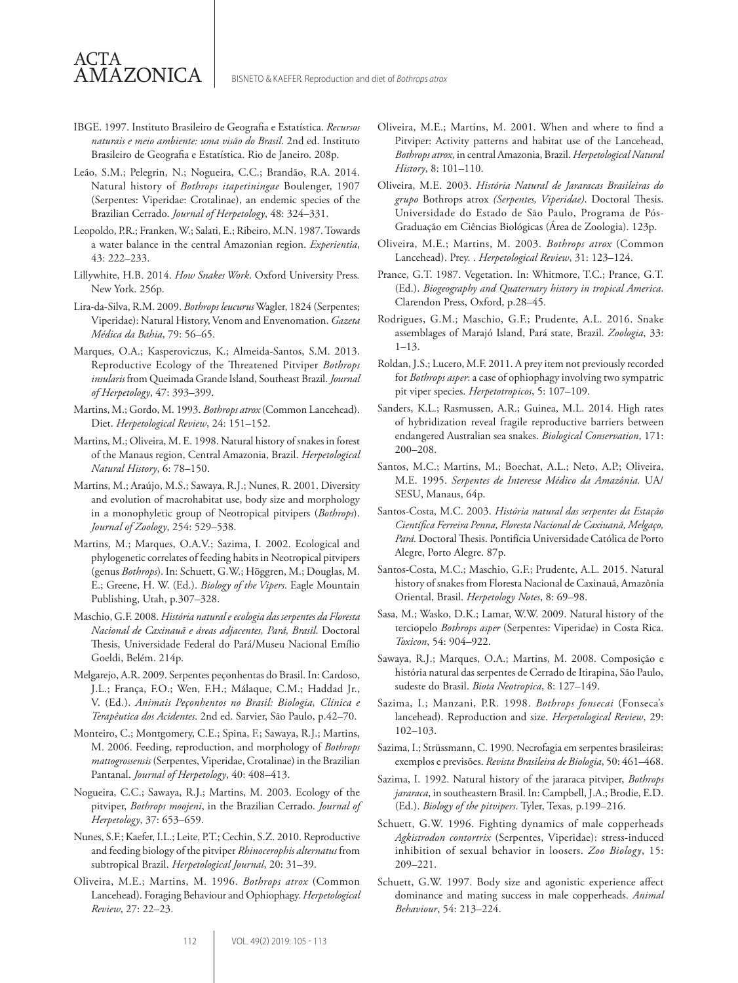IBGE. 1997. Instituto Brasileiro de Geografia e Estatística. *Recursos naturais e meio ambiente: uma visão do Brasil*. 2nd ed. Instituto Brasileiro de Geografia e Estatística. Rio de Janeiro. 208p.

ACTA

AMAZONICA

- Leão, S.M.; Pelegrin, N.; Nogueira, C.C.; Brandão, R.A. 2014. Natural history of *Bothrops itapetiningae* Boulenger, 1907 (Serpentes: Viperidae: Crotalinae), an endemic species of the Brazilian Cerrado. *Journal of Herpetology*, 48: 324–331.
- Leopoldo, P.R.; Franken, W.; Salati, E.; Ribeiro, M.N. 1987. Towards a water balance in the central Amazonian region. *Experientia*, 43: 222–233.
- Lillywhite, H.B. 2014. *How Snakes Work*. Oxford University Press*.* New York. 256p.
- Lira-da-Silva, R.M. 2009. *Bothrops leucurus* Wagler, 1824 (Serpentes; Viperidae): Natural History, Venom and Envenomation. *Gazeta Médica da Bahia*, 79: 56–65.
- Marques, O.A.; Kasperoviczus, K.; Almeida-Santos, S.M. 2013. Reproductive Ecology of the Threatened Pitviper *Bothrops insularis* from Queimada Grande Island, Southeast Brazil. *Journal of Herpetology*, 47: 393–399.
- Martins, M.; Gordo, M. 1993. *Bothrops atrox* (Common Lancehead). Diet. *Herpetological Review*, 24: 151–152.
- Martins, M.; Oliveira, M. E. 1998. Natural history of snakes in forest of the Manaus region, Central Amazonia, Brazil. *Herpetological Natural History*, 6: 78–150.
- Martins, M.; Araújo, M.S.; Sawaya, R.J.; Nunes, R. 2001. Diversity and evolution of macrohabitat use, body size and morphology in a monophyletic group of Neotropical pitvipers (*Bothrops*). *Journal of Zoology*, 254: 529–538.
- Martins, M.; Marques, O.A.V.; Sazima, I. 2002. Ecological and phylogenetic correlates of feeding habits in Neotropical pitvipers (genus *Bothrops*). In: Schuett, G.W.; Höggren, M.; Douglas, M. E.; Greene, H. W. (Ed.). *Biology of the Vipers*. Eagle Mountain Publishing, Utah, p.307–328.
- Maschio, G.F. 2008. *História natural e ecologia das serpentes da Floresta Nacional de Caxinauã e áreas adjacentes, Pará, Brasil*. Doctoral Thesis, Universidade Federal do Pará/Museu Nacional Emílio Goeldi, Belém. 214p.
- Melgarejo, A.R. 2009. Serpentes peçonhentas do Brasil. In: Cardoso, J.L.; França, F.O.; Wen, F.H.; Málaque, C.M.; Haddad Jr., V. (Ed.). *Animais Peçonhentos no Brasil: Biologia, Clínica e Terapêutica dos Acidentes*. 2nd ed. Sarvier, São Paulo, p.42–70.
- Monteiro, C.; Montgomery, C.E.; Spina, F.; Sawaya, R.J.; Martins, M. 2006. Feeding, reproduction, and morphology of *Bothrops mattogrossensis* (Serpentes, Viperidae, Crotalinae) in the Brazilian Pantanal. *Journal of Herpetology*, 40: 408–413.
- Nogueira, C.C.; Sawaya, R.J.; Martins, M. 2003. Ecology of the pitviper, *Bothrops moojeni*, in the Brazilian Cerrado. *Journal of Herpetology*, 37: 653–659.
- Nunes, S.F.; Kaefer, I.L.; Leite, P.T.; Cechin, S.Z. 2010. Reproductive and feeding biology of the pitviper *Rhinocerophis alternatus* from subtropical Brazil. *Herpetological Journal*, 20: 31–39.
- Oliveira, M.E.; Martins, M. 1996. *Bothrops atrox* (Common Lancehead). Foraging Behaviour and Ophiophagy. *Herpetological Review*, 27: 22–23.
- Oliveira, M.E.; Martins, M. 2001. When and where to find a Pitviper: Activity patterns and habitat use of the Lancehead, *Bothrops atrox*, in central Amazonia, Brazil. *Herpetological Natural History*, 8: 101–110.
- Oliveira, M.E. 2003. *História Natural de Jararacas Brasileiras do grupo* Bothrops atrox *(Serpentes, Viperidae)*. Doctoral Thesis. Universidade do Estado de São Paulo, Programa de Pós-Graduação em Ciências Biológicas (Área de Zoologia). 123p.
- Oliveira, M.E.; Martins, M. 2003. *Bothrops atrox* (Common Lancehead). Prey. . *Herpetological Review*, 31: 123–124.
- Prance, G.T. 1987. Vegetation. In: Whitmore, T.C.; Prance, G.T. (Ed.). *Biogeography and Quaternary history in tropical America*. Clarendon Press, Oxford, p.28–45.
- Rodrigues, G.M.; Maschio, G.F.; Prudente, A.L. 2016. Snake assemblages of Marajó Island, Pará state, Brazil. *Zoologia*, 33: 1–13.
- Roldan, J.S.; Lucero, M.F. 2011. A prey item not previously recorded for *Bothrops asper*: a case of ophiophagy involving two sympatric pit viper species. *Herpetotropicos*, 5: 107–109.
- Sanders, K.L.; Rasmussen, A.R.; Guinea, M.L. 2014. High rates of hybridization reveal fragile reproductive barriers between endangered Australian sea snakes. *Biological Conservation*, 171: 200–208.
- Santos, M.C.; Martins, M.; Boechat, A.L.; Neto, A.P.; Oliveira, M.E. 1995. *Serpentes de Interesse Médico da Amazônia.* UA/ SESU, Manaus, 64p.
- Santos-Costa, M.C. 2003. *História natural das serpentes da Estação Científica Ferreira Penna, Floresta Nacional de Caxiuanã, Melgaço, Pará.* Doctoral Thesis. Pontifícia Universidade Católica de Porto Alegre, Porto Alegre. 87p.
- Santos-Costa, M.C.; Maschio, G.F.; Prudente, A.L. 2015. Natural history of snakes from Floresta Nacional de Caxinauã, Amazônia Oriental, Brasil. *Herpetology Notes*, 8: 69–98.
- Sasa, M.; Wasko, D.K.; Lamar, W.W. 2009. Natural history of the terciopelo *Bothrops asper* (Serpentes: Viperidae) in Costa Rica. *Toxicon*, 54: 904–922.
- Sawaya, R.J.; Marques, O.A.; Martins, M. 2008. Composição e história natural das serpentes de Cerrado de Itirapina, São Paulo, sudeste do Brasil. *Biota Neotropica*, 8: 127–149.
- Sazima, I.; Manzani, P.R. 1998. *Bothrops fonsecai* (Fonseca's lancehead). Reproduction and size. *Herpetological Review*, 29: 102–103.
- Sazima, I.; Strüssmann, C. 1990. Necrofagia em serpentes brasileiras: exemplos e previsões. *Revista Brasileira de Biologia*, 50: 461–468.
- Sazima, I. 1992. Natural history of the jararaca pitviper, *Bothrops jararaca*, in southeastern Brasil. In: Campbell, J.A.; Brodie, E.D. (Ed.). *Biology of the pitvipers*. Tyler, Texas, p.199–216.
- Schuett, G.W. 1996. Fighting dynamics of male copperheads *Agkistrodon contortrix* (Serpentes, Viperidae): stress-induced inhibition of sexual behavior in loosers. *Zoo Biology*, 15: 209–221.
- Schuett, G.W. 1997. Body size and agonistic experience affect dominance and mating success in male copperheads. *Animal Behaviour*, 54: 213–224.